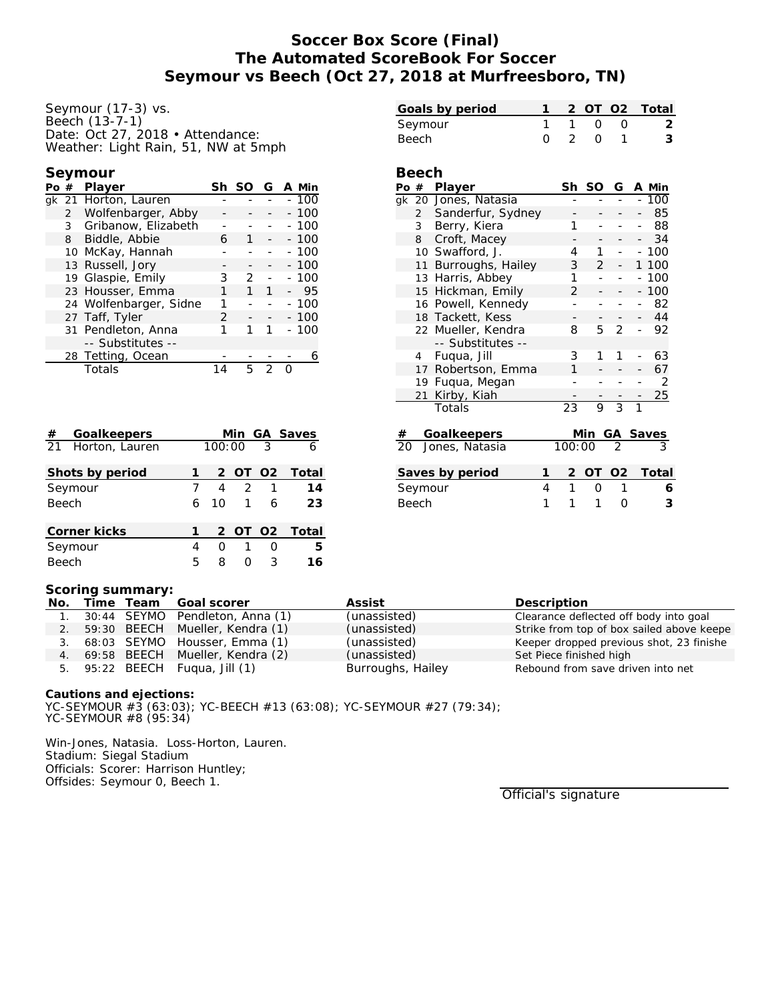# **Soccer Box Score (Final) The Automated ScoreBook For Soccer Seymour vs Beech (Oct 27, 2018 at Murfreesboro, TN)**

Seymour (17-3) vs. Beech (13-7-1) Date: Oct 27, 2018 • Attendance: Weather: Light Rain, 51, NW at 5mph

## **Seymour**

| Po# |                | Player                 | Sh | -SO | G | A Min |        |
|-----|----------------|------------------------|----|-----|---|-------|--------|
|     |                | gk 21 Horton, Lauren   |    |     |   |       | $-100$ |
|     | $\overline{2}$ | Wolfenbarger, Abby     |    |     |   |       | $-100$ |
|     | 3              | Gribanow, Elizabeth    |    |     |   |       | $-100$ |
|     | 8              | Biddle, Abbie          | 6  | 1   |   |       | $-100$ |
|     | $10-10$        | McKay, Hannah          |    |     |   |       | $-100$ |
|     |                | 13 Russell, Jory       |    |     |   |       | $-100$ |
|     |                | 19 Glaspie, Emily      | 3  | 2   |   |       | $-100$ |
|     |                | 23 Housser, Emma       | 1  | 1   | 1 |       | 95     |
|     |                | 24 Wolfenbarger, Sidne | 1  |     |   |       | $-100$ |
|     |                | 27 Taff, Tyler         | 2  |     |   |       | $-100$ |
|     |                | 31 Pendleton, Anna     | 1  |     |   |       | $-100$ |
|     |                | -- Substitutes --      |    |     |   |       |        |
|     |                | 28 Tetting, Ocean      |    |     |   |       |        |
|     |                | Totals                 |    | г,  | っ |       |        |

| #       | Goalkeepers       |   |        |                         |                          | Min GA Saves  |
|---------|-------------------|---|--------|-------------------------|--------------------------|---------------|
|         | 21 Horton, Lauren |   | 100:00 |                         | $\overline{\phantom{a}}$ |               |
|         | Shots by period   |   |        |                         |                          | 2 OT O2 Total |
| Seymour |                   |   | 4      | $\overline{\mathbf{c}}$ | $\mathbf{1}$             | 14            |
| Beech   |                   | 6 | 10     | $\overline{1}$          | 6                        | 23            |
|         | Corner kicks      |   |        | 2 OT 02                 |                          | Total         |
| Seymour |                   | 4 | Ω      | $\mathbf{1}$            | Ω                        | -5            |
| Beech   |                   |   | 8      | ∩                       | 3                        | 16            |

| Seymour                                                                  |                |                    | 1 | 1              | O              | 0              |                          | 2      |
|--------------------------------------------------------------------------|----------------|--------------------|---|----------------|----------------|----------------|--------------------------|--------|
| Beech                                                                    |                |                    | O | $\overline{2}$ | O              | 1              |                          | 3      |
|                                                                          |                |                    |   |                |                |                |                          |        |
|                                                                          | Beech          |                    |   |                |                |                |                          |        |
|                                                                          | Po #           | Player             |   | Sh             | SO             | G              |                          | A Min  |
| gk                                                                       |                | 20 Jones, Natasia  |   |                |                |                |                          | 100    |
|                                                                          | $\overline{2}$ | Sanderfur, Sydney  |   |                |                |                |                          | 85     |
|                                                                          | 3              | Berry, Kiera       |   | 1              |                |                |                          | 88     |
|                                                                          | 8              | Croft, Macey       |   |                |                |                |                          | 34     |
|                                                                          |                | 10 Swafford, J.    |   | 4              | 1              |                |                          | $-100$ |
|                                                                          | 11             | Burroughs, Hailey  |   | 3              | $\overline{2}$ |                | 1                        | 100    |
|                                                                          |                | 13 Harris, Abbey   |   | 1              |                |                |                          | 100    |
|                                                                          | 15             | Hickman, Emily     |   | $\overline{2}$ |                |                |                          | 100    |
|                                                                          |                | 16 Powell, Kennedy |   |                |                |                |                          | 82     |
|                                                                          |                | 18 Tackett, Kess   |   | -              |                |                | $\overline{\phantom{0}}$ | 44     |
|                                                                          |                | 22 Mueller, Kendra |   | 8              | 5              | $\mathcal{P}$  |                          | 92     |
|                                                                          |                | -- Substitutes --  |   |                |                |                |                          |        |
|                                                                          | 4              | Fuqua, Jill        |   | 3              | 1              | 1              |                          | 63     |
|                                                                          | 17             | Robertson, Emma    |   | 1              |                |                |                          | 67     |
|                                                                          |                | 19 Fuqua, Megan    |   |                |                |                |                          | 2      |
|                                                                          | 21             | Kirby, Kiah        |   |                |                |                |                          | 25     |
|                                                                          |                | Totals             |   | 23             | 9              | $\overline{3}$ | $\overline{1}$           |        |
| #                                                                        |                | <b>Goalkeepers</b> |   |                | Min            | GA Saves       |                          |        |
| 20                                                                       |                | Jones, Natasia     |   | 100:00         |                |                |                          |        |
| 1<br>Total<br>Saves by period<br>$\overline{2}$<br>OT.<br>O <sub>2</sub> |                |                    |   |                |                |                |                          |        |
|                                                                          |                |                    | 4 | $\mathbf{1}$   | O              | 1              |                          |        |
| Seymour                                                                  |                |                    |   |                |                |                |                          | 6      |
| Beech                                                                    |                |                    | 1 | 1              | 1              | 0              |                          | 3      |

**Goals by period 1 2 OT O2 Total**

#### **Scoring summary:**

|  | No. Time Team Goal scorer          | Assist            | Description                               |
|--|------------------------------------|-------------------|-------------------------------------------|
|  | 30:44 SEYMO Pendleton, Anna (1)    | (unassisted)      | Clearance deflected off body into goal    |
|  | 2. 59:30 BEECH Mueller, Kendra (1) | (unassisted)      | Strike from top of box sailed above keepe |
|  | 3. 68:03 SEYMO Housser, Emma (1)   | (unassisted)      | Keeper dropped previous shot, 23 finishe  |
|  | 4. 69:58 BEECH Mueller, Kendra (2) | (unassisted)      | Set Piece finished high                   |
|  | 5. 95:22 BEECH Fuqua, Jill (1)     | Burroughs, Hailey | Rebound from save driven into net         |

**Cautions and ejections:** YC-SEYMOUR #3 (63:03); YC-BEECH #13 (63:08); YC-SEYMOUR #27 (79:34); YC-SEYMOUR #8 (95:34)

Win-Jones, Natasia. Loss-Horton, Lauren. Stadium: Siegal Stadium Officials: Scorer: Harrison Huntley; Offsides: Seymour 0, Beech 1.

Official's signature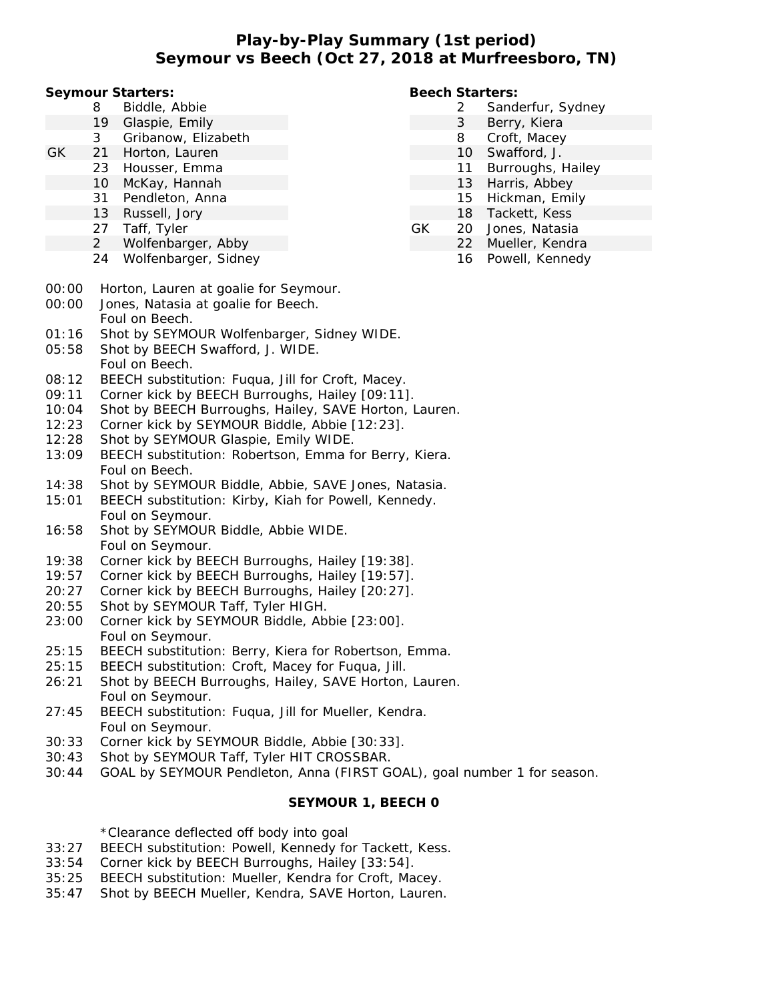**Play-by-Play Summary (1st period) Seymour vs Beech (Oct 27, 2018 at Murfreesboro, TN)**

**Seymour Starters:**

- 8 Biddle, Abbie
- 19 Glaspie, Emily
- 3 Gribanow, Elizabeth
- GK 21 Horton, Lauren
	- 23 Housser, Emma
	- 10 McKay, Hannah
	- 31 Pendleton, Anna
	- 13 Russell, Jory
	- 27 Taff, Tyler
	- 2 Wolfenbarger, Abby
	- 24 Wolfenbarger, Sidney
- **Beech Starters:**
	- 2 Sanderfur, Sydney
	- 3 Berry, Kiera
	- 8 Croft, Macey
	- 10 Swafford, J.
	- 11 Burroughs, Hailey
	- 13 Harris, Abbey
	- 15 Hickman, Emily
	- 18 Tackett, Kess
- GK 20 Jones, Natasia
	- 22 Mueller, Kendra
		- 16 Powell, Kennedy

- 00:00 Horton, Lauren at goalie for Seymour.
- 00:00 Jones, Natasia at goalie for Beech. Foul on Beech.
- 01:16 Shot by SEYMOUR Wolfenbarger, Sidney WIDE.
- 05:58 Shot by BEECH Swafford, J. WIDE. Foul on Beech.
- 08:12 BEECH substitution: Fuqua, Jill for Croft, Macey.
- 09:11 Corner kick by BEECH Burroughs, Hailey [09:11].
- 10:04 Shot by BEECH Burroughs, Hailey, SAVE Horton, Lauren.
- 12:23 Corner kick by SEYMOUR Biddle, Abbie [12:23].
- 12:28 Shot by SEYMOUR Glaspie, Emily WIDE.
- 13:09 BEECH substitution: Robertson, Emma for Berry, Kiera. Foul on Beech.
- 14:38 Shot by SEYMOUR Biddle, Abbie, SAVE Jones, Natasia.
- 15:01 BEECH substitution: Kirby, Kiah for Powell, Kennedy. Foul on Seymour.
- 16:58 Shot by SEYMOUR Biddle, Abbie WIDE. Foul on Seymour.
- 19:38 Corner kick by BEECH Burroughs, Hailey [19:38].
- 19:57 Corner kick by BEECH Burroughs, Hailey [19:57].
- 20:27 Corner kick by BEECH Burroughs, Hailey [20:27].
- 20:55 Shot by SEYMOUR Taff, Tyler HIGH.
- 23:00 Corner kick by SEYMOUR Biddle, Abbie [23:00]. Foul on Seymour.
- 25:15 BEECH substitution: Berry, Kiera for Robertson, Emma.
- 25:15 BEECH substitution: Croft, Macey for Fuqua, Jill.
- 26:21 Shot by BEECH Burroughs, Hailey, SAVE Horton, Lauren. Foul on Seymour.
- 27:45 BEECH substitution: Fuqua, Jill for Mueller, Kendra. Foul on Seymour.
- 30:33 Corner kick by SEYMOUR Biddle, Abbie [30:33].
- 30:43 Shot by SEYMOUR Taff, Tyler HIT CROSSBAR.
- 30:44 GOAL by SEYMOUR Pendleton, Anna (FIRST GOAL), goal number 1 for season.

### **SEYMOUR 1, BEECH 0**

\*Clearance deflected off body into goal

- 33:27 BEECH substitution: Powell, Kennedy for Tackett, Kess.
- 33:54 Corner kick by BEECH Burroughs, Hailey [33:54].
- 35:25 BEECH substitution: Mueller, Kendra for Croft, Macey.
- 35:47 Shot by BEECH Mueller, Kendra, SAVE Horton, Lauren.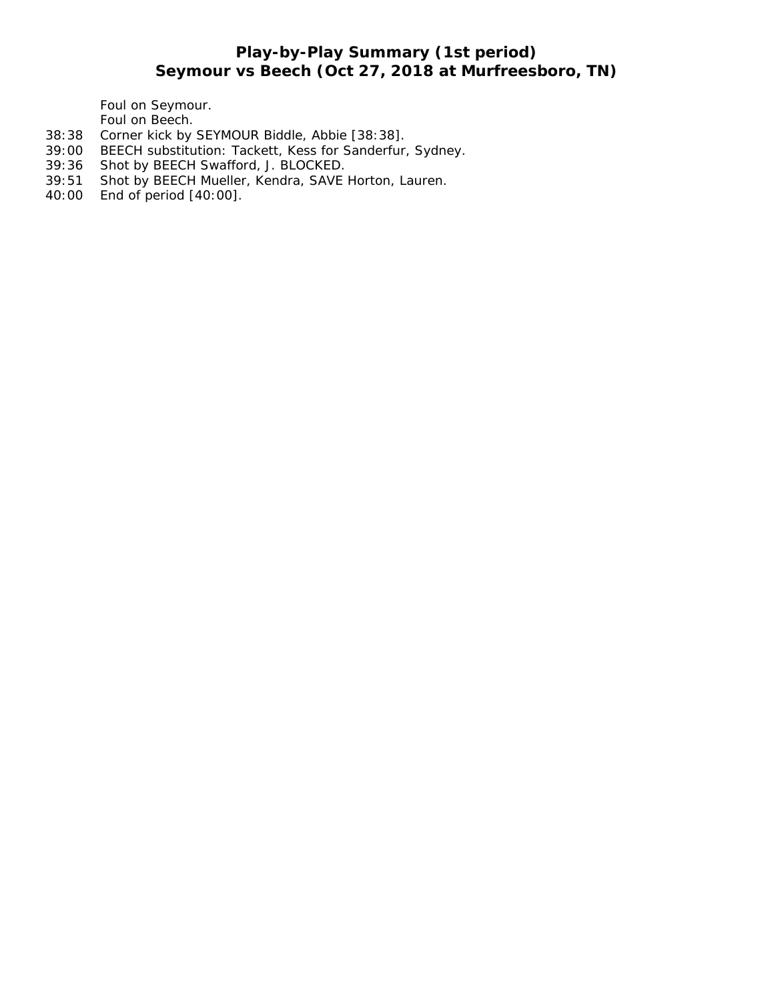# **Play-by-Play Summary (1st period) Seymour vs Beech (Oct 27, 2018 at Murfreesboro, TN)**

Foul on Seymour. Foul on Beech.

- 38:38 Corner kick by SEYMOUR Biddle, Abbie [38:38].
- 39:00 BEECH substitution: Tackett, Kess for Sanderfur, Sydney.
- 
- 39:36 Shot by BEECH Swafford, J. BLOCKED.<br>39:51 Shot by BEECH Mueller, Kendra, SAVE Shot by BEECH Mueller, Kendra, SAVE Horton, Lauren.
- 40:00 End of period [40:00].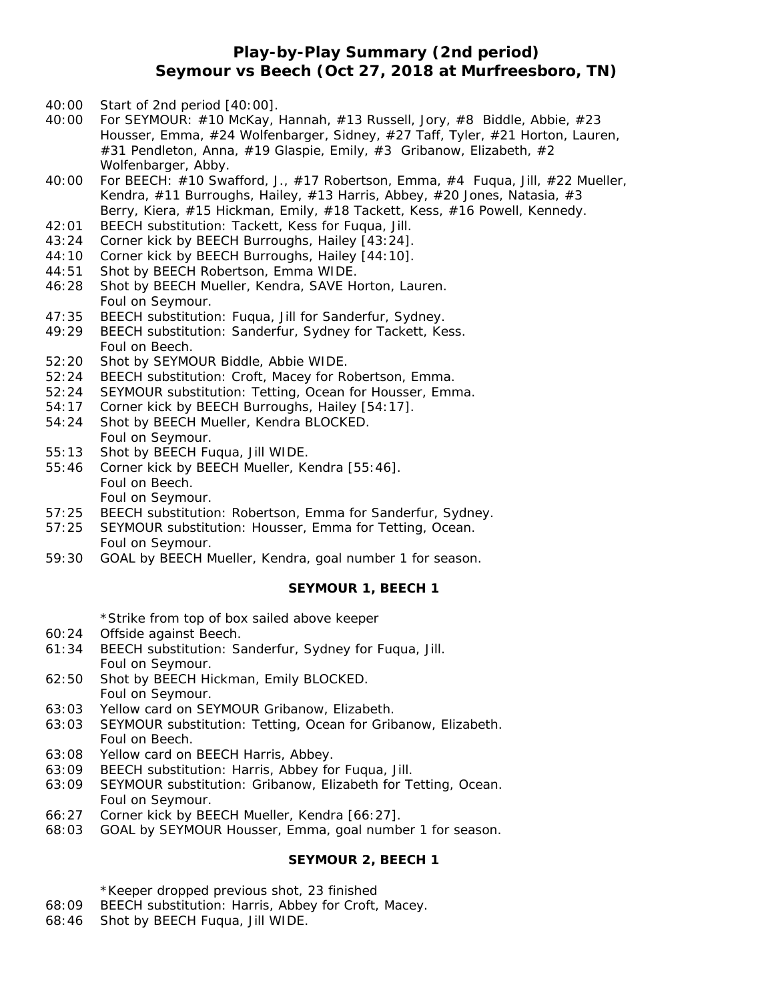## **Play-by-Play Summary (2nd period) Seymour vs Beech (Oct 27, 2018 at Murfreesboro, TN)**

- 40:00 Start of 2nd period [40:00].
- 40:00 For SEYMOUR: #10 McKay, Hannah, #13 Russell, Jory, #8 Biddle, Abbie, #23 Housser, Emma, #24 Wolfenbarger, Sidney, #27 Taff, Tyler, #21 Horton, Lauren, #31 Pendleton, Anna, #19 Glaspie, Emily, #3 Gribanow, Elizabeth, #2 Wolfenbarger, Abby.
- 40:00 For BEECH: #10 Swafford, J., #17 Robertson, Emma, #4 Fuqua, Jill, #22 Mueller, Kendra, #11 Burroughs, Hailey, #13 Harris, Abbey, #20 Jones, Natasia, #3 Berry, Kiera, #15 Hickman, Emily, #18 Tackett, Kess, #16 Powell, Kennedy.
- 42:01 BEECH substitution: Tackett, Kess for Fuqua, Jill.
- 43:24 Corner kick by BEECH Burroughs, Hailey [43:24].
- 44:10 Corner kick by BEECH Burroughs, Hailey [44:10].
- 44:51 Shot by BEECH Robertson, Emma WIDE.
- 46:28 Shot by BEECH Mueller, Kendra, SAVE Horton, Lauren. Foul on Seymour.
- 47:35 BEECH substitution: Fuqua, Jill for Sanderfur, Sydney.
- 49:29 BEECH substitution: Sanderfur, Sydney for Tackett, Kess. Foul on Beech.
- 52:20 Shot by SEYMOUR Biddle, Abbie WIDE.
- 52:24 BEECH substitution: Croft, Macey for Robertson, Emma.
- 52:24 SEYMOUR substitution: Tetting, Ocean for Housser, Emma.
- 54:17 Corner kick by BEECH Burroughs, Hailey [54:17].
- 54:24 Shot by BEECH Mueller, Kendra BLOCKED. Foul on Seymour.
- 55:13 Shot by BEECH Fuqua, Jill WIDE.
- 55:46 Corner kick by BEECH Mueller, Kendra [55:46]. Foul on Beech. Foul on Seymour.
- 57:25 BEECH substitution: Robertson, Emma for Sanderfur, Sydney.
- 57:25 SEYMOUR substitution: Housser, Emma for Tetting, Ocean. Foul on Seymour.
- 59:30 GOAL by BEECH Mueller, Kendra, goal number 1 for season.

#### **SEYMOUR 1, BEECH 1**

\*Strike from top of box sailed above keeper

- 60:24 Offside against Beech.
- 61:34 BEECH substitution: Sanderfur, Sydney for Fuqua, Jill. Foul on Seymour.
- 62:50 Shot by BEECH Hickman, Emily BLOCKED. Foul on Seymour.
- 63:03 Yellow card on SEYMOUR Gribanow, Elizabeth.
- 63:03 SEYMOUR substitution: Tetting, Ocean for Gribanow, Elizabeth. Foul on Beech.
- 63:08 Yellow card on BEECH Harris, Abbey.
- 63:09 BEECH substitution: Harris, Abbey for Fuqua, Jill.
- 63:09 SEYMOUR substitution: Gribanow, Elizabeth for Tetting, Ocean. Foul on Seymour.
- 66:27 Corner kick by BEECH Mueller, Kendra [66:27].
- 68:03 GOAL by SEYMOUR Housser, Emma, goal number 1 for season.

### **SEYMOUR 2, BEECH 1**

\*Keeper dropped previous shot, 23 finished

- 68:09 BEECH substitution: Harris, Abbey for Croft, Macey.
- 68:46 Shot by BEECH Fuqua, Jill WIDE.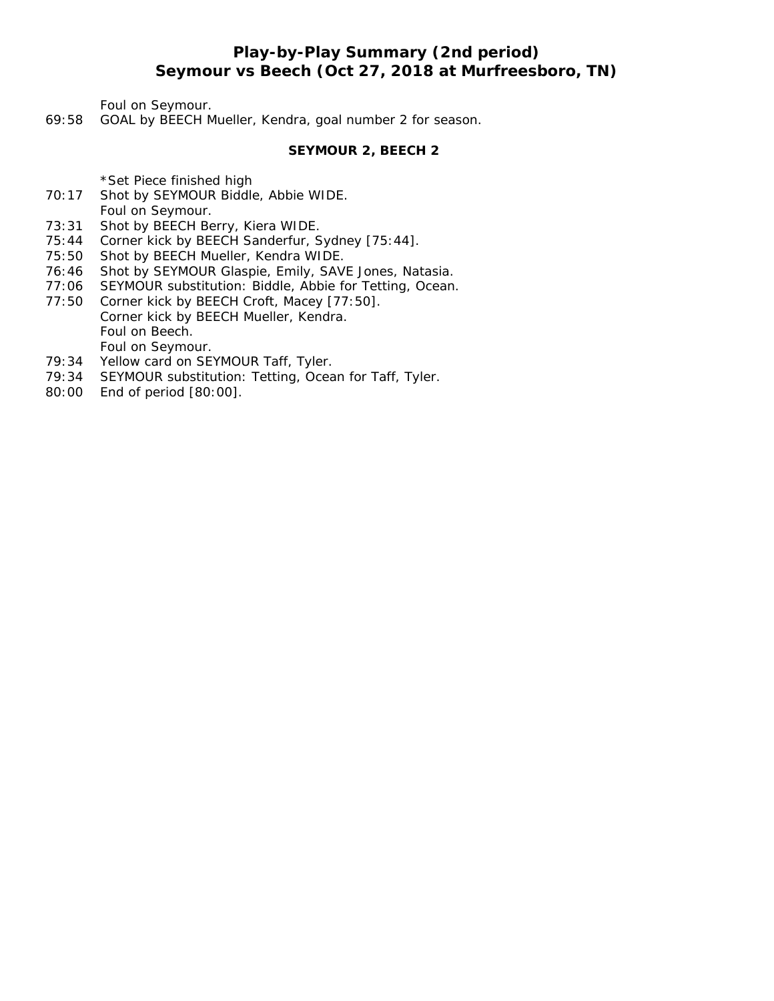# **Play-by-Play Summary (2nd period) Seymour vs Beech (Oct 27, 2018 at Murfreesboro, TN)**

Foul on Seymour.

69:58 GOAL by BEECH Mueller, Kendra, goal number 2 for season.

**SEYMOUR 2, BEECH 2**

\*Set Piece finished high

- 70:17 Shot by SEYMOUR Biddle, Abbie WIDE. Foul on Seymour.
- 73:31 Shot by BEECH Berry, Kiera WIDE.
- 75:44 Corner kick by BEECH Sanderfur, Sydney [75:44].
- 75:50 Shot by BEECH Mueller, Kendra WIDE.
- 76:46 Shot by SEYMOUR Glaspie, Emily, SAVE Jones, Natasia.
- 77:06 SEYMOUR substitution: Biddle, Abbie for Tetting, Ocean.
- 77:50 Corner kick by BEECH Croft, Macey [77:50]. Corner kick by BEECH Mueller, Kendra. Foul on Beech. Foul on Seymour.
- 79:34 Yellow card on SEYMOUR Taff, Tyler.
- 79:34 SEYMOUR substitution: Tetting, Ocean for Taff, Tyler.
- 80:00 End of period [80:00].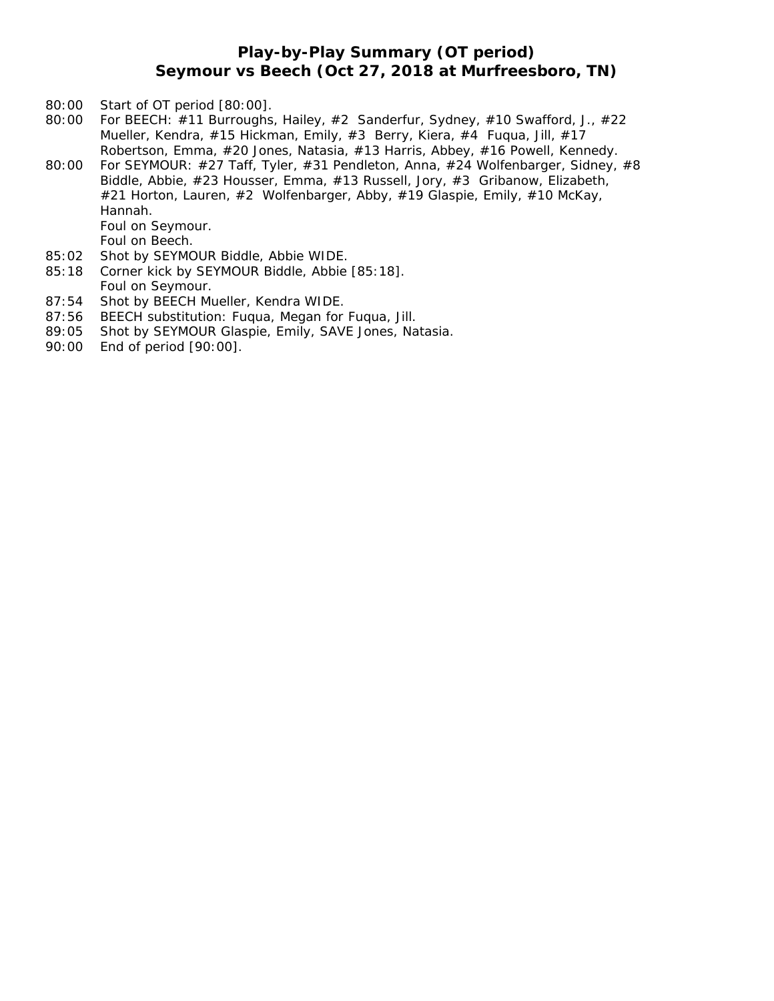## **Play-by-Play Summary (OT period) Seymour vs Beech (Oct 27, 2018 at Murfreesboro, TN)**

- 80:00 Start of OT period [80:00].
- 80:00 For BEECH: #11 Burroughs, Hailey, #2 Sanderfur, Sydney, #10 Swafford, J., #22 Mueller, Kendra, #15 Hickman, Emily, #3 Berry, Kiera, #4 Fuqua, Jill, #17 Robertson, Emma, #20 Jones, Natasia, #13 Harris, Abbey, #16 Powell, Kennedy.
- 80:00 For SEYMOUR: #27 Taff, Tyler, #31 Pendleton, Anna, #24 Wolfenbarger, Sidney, #8 Biddle, Abbie, #23 Housser, Emma, #13 Russell, Jory, #3 Gribanow, Elizabeth, #21 Horton, Lauren, #2 Wolfenbarger, Abby, #19 Glaspie, Emily, #10 McKay, Hannah. Foul on Seymour.
	- Foul on Beech.
- 85:02 Shot by SEYMOUR Biddle, Abbie WIDE.
- 85:18 Corner kick by SEYMOUR Biddle, Abbie [85:18]. Foul on Seymour.
- 87:54 Shot by BEECH Mueller, Kendra WIDE.
- 87:56 BEECH substitution: Fuqua, Megan for Fuqua, Jill.
- 89:05 Shot by SEYMOUR Glaspie, Emily, SAVE Jones, Natasia.
- 90:00 End of period [90:00].